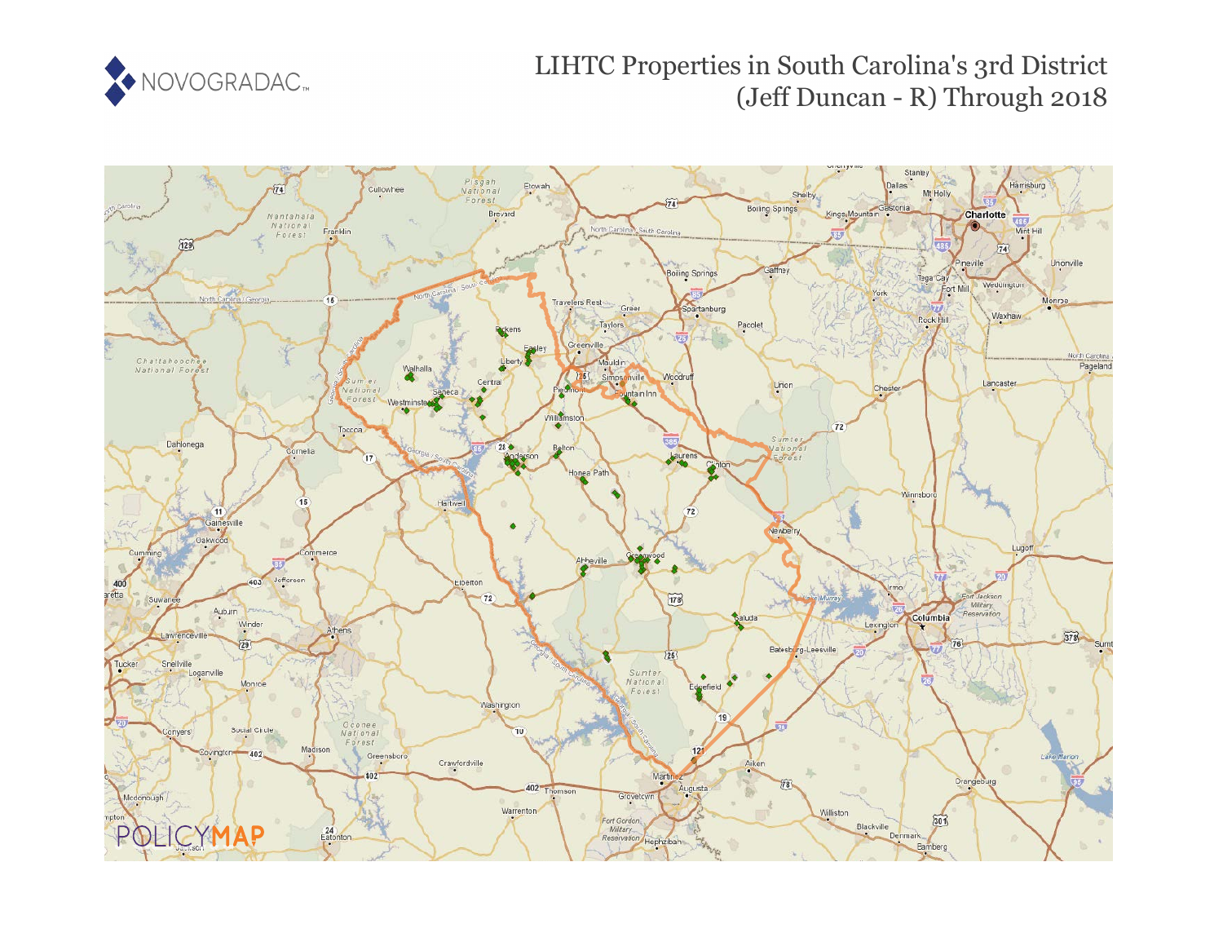

# LIHTC Properties in South Carolina's 3rd District (Jeff Duncan - R) Through 2018

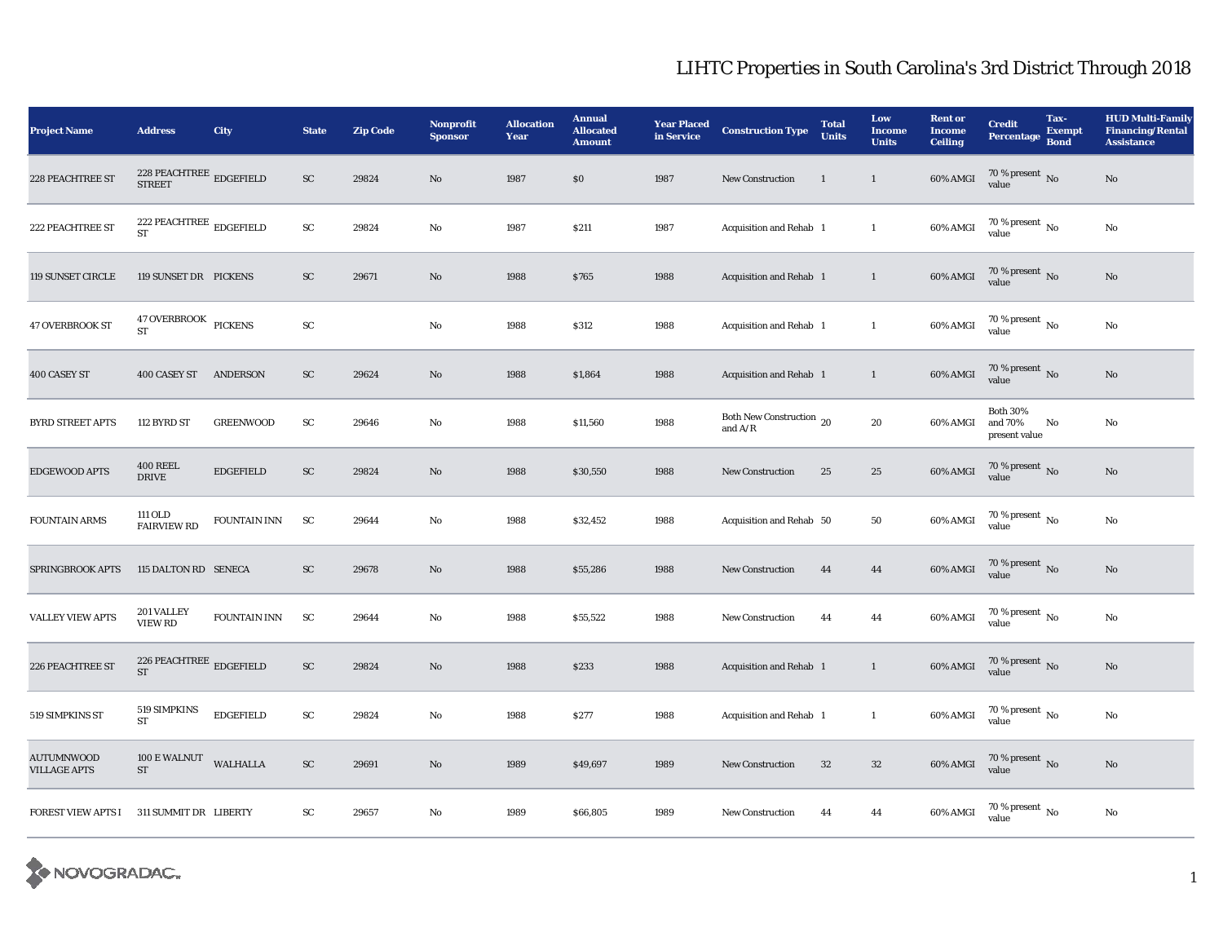| <b>Project Name</b>                      | <b>Address</b>                                                         | City                | <b>State</b>        | <b>Zip Code</b> | <b>Nonprofit</b><br><b>Sponsor</b> | <b>Allocation</b><br>Year | <b>Annual</b><br><b>Allocated</b><br><b>Amount</b> | <b>Year Placed</b><br>in Service | <b>Construction Type</b>              | <b>Total</b><br>Units | Low<br><b>Income</b><br><b>Units</b> | <b>Rent or</b><br><b>Income</b><br><b>Ceiling</b> | <b>Credit</b><br><b>Percentage</b>          | Tax-<br><b>Exempt</b><br><b>Bond</b> | <b>HUD Multi-Family</b><br><b>Financing/Rental</b><br><b>Assistance</b> |
|------------------------------------------|------------------------------------------------------------------------|---------------------|---------------------|-----------------|------------------------------------|---------------------------|----------------------------------------------------|----------------------------------|---------------------------------------|-----------------------|--------------------------------------|---------------------------------------------------|---------------------------------------------|--------------------------------------|-------------------------------------------------------------------------|
| <b>228 PEACHTREE ST</b>                  | <b>STREET</b>                                                          |                     | ${\rm SC}$          | 29824           | $\rm No$                           | 1987                      | \$0                                                | 1987                             | New Construction                      | <sup>1</sup>          | $\mathbf{1}$                         | 60% AMGI                                          | $70\,\%$ present $\,$ No value              |                                      | No                                                                      |
| 222 PEACHTREE ST                         | 222 PEACHTREE $_{\rm\,EDGEFIED}$<br><b>ST</b>                          |                     | $\operatorname{SC}$ | 29824           | $\mathbf{N}\mathbf{o}$             | 1987                      | \$211                                              | 1987                             | Acquisition and Rehab 1               |                       | $\mathbf{1}$                         | 60% AMGI                                          | $70$ % present $\,$ No $\,$<br>value        |                                      | No                                                                      |
| 119 SUNSET CIRCLE                        | 119 SUNSET DR PICKENS                                                  |                     | ${\rm SC}$          | 29671           | $\mathbf{N}\mathbf{o}$             | 1988                      | \$765                                              | 1988                             | Acquisition and Rehab 1               |                       | $\mathbf{1}$                         | 60% AMGI                                          | $70\,\%$ present $\,$ No value              |                                      | No                                                                      |
| <b>47 OVERBROOK ST</b>                   | 47 OVERBROOK PICKENS<br>ST                                             |                     | SC                  |                 | $\mathbf{N}\mathbf{o}$             | 1988                      | \$312                                              | 1988                             | Acquisition and Rehab 1               |                       | $\mathbf{1}$                         | 60% AMGI                                          | $70$ % present $\,$ No $\,$<br>value        |                                      | $\rm No$                                                                |
| 400 CASEY ST                             | 400 CASEY ST ANDERSON                                                  |                     | ${\rm SC}$          | 29624           | $\mathbf{N}\mathbf{o}$             | 1988                      | \$1,864                                            | 1988                             | Acquisition and Rehab 1               |                       | $\mathbf{1}$                         | $60\%$ AMGI                                       | $70\,\%$ present $\,$ No value              |                                      | No                                                                      |
| <b>BYRD STREET APTS</b>                  | 112 BYRD ST                                                            | <b>GREENWOOD</b>    | SC                  | 29646           | $\rm No$                           | 1988                      | \$11,560                                           | 1988                             | Both New Construction 20<br>and $A/R$ |                       | 20                                   | 60% AMGI                                          | <b>Both 30%</b><br>and 70%<br>present value | No                                   | No                                                                      |
| EDGEWOOD APTS                            | <b>400 REEL</b><br><b>DRIVE</b>                                        | <b>EDGEFIELD</b>    | ${\rm SC}$          | 29824           | No                                 | 1988                      | \$30,550                                           | 1988                             | <b>New Construction</b>               | 25                    | 25                                   | 60% AMGI                                          | $70\,\%$ present $\,$ No value              |                                      | No                                                                      |
| <b>FOUNTAIN ARMS</b>                     | 111 OLD<br><b>FAIRVIEW RD</b>                                          | <b>FOUNTAIN INN</b> | <b>SC</b>           | 29644           | No                                 | 1988                      | \$32,452                                           | 1988                             | Acquisition and Rehab 50              |                       | 50                                   | 60% AMGI                                          | 70 % present $\,$ No $\,$<br>value          |                                      | No                                                                      |
| SPRINGBROOK APTS                         | 115 DALTON RD SENECA                                                   |                     | ${\rm SC}$          | 29678           | No                                 | 1988                      | \$55,286                                           | 1988                             | New Construction                      | 44                    | 44                                   | 60% AMGI                                          | $70\,\%$ present $\,$ No value              |                                      | No                                                                      |
| <b>VALLEY VIEW APTS</b>                  | 201 VALLEY<br><b>VIEW RD</b>                                           | FOUNTAIN INN        | <b>SC</b>           | 29644           | No                                 | 1988                      | \$55,522                                           | 1988                             | <b>New Construction</b>               | 44                    | 44                                   | $60\%$ AMGI                                       | 70 % present $\,$ No $\,$<br>value          |                                      | No                                                                      |
| 226 PEACHTREE ST                         | 226 PEACHTREE $_{\rm\bf \underline{E}DGEFIELD}$<br>$\operatorname{ST}$ |                     | ${\rm SC}$          | 29824           | $\mathbf{N}\mathbf{o}$             | 1988                      | \$233                                              | 1988                             | Acquisition and Rehab 1               |                       | $\mathbf{1}$                         | 60% AMGI                                          | $70$ % present $\,$ No value                |                                      | No                                                                      |
| 519 SIMPKINS ST                          | 519 SIMPKINS<br><b>ST</b>                                              | <b>EDGEFIELD</b>    | ${\bf SC}$          | 29824           | No                                 | 1988                      | \$277                                              | 1988                             | Acquisition and Rehab 1               |                       | $\mathbf{1}$                         | 60% AMGI                                          | $70\,\%$ present $\,$ No $\,$<br>value      |                                      | No                                                                      |
| <b>AUTUMNWOOD</b><br><b>VILLAGE APTS</b> | 100 E WALNUT<br><b>ST</b>                                              | WALHALLA            | ${\rm SC}$          | 29691           | No                                 | 1989                      | \$49,697                                           | 1989                             | <b>New Construction</b>               | 32                    | 32                                   | 60% AMGI                                          | $70\,\%$ present $\,$ No value              |                                      | No                                                                      |
| <b>FOREST VIEW APTS I</b>                | 311 SUMMIT DR LIBERTY                                                  |                     | SC                  | 29657           | $\rm No$                           | 1989                      | \$66,805                                           | 1989                             | <b>New Construction</b>               | 44                    | 44                                   | 60% AMGI                                          | $70\,\%$ present $\,$ No $\,$<br>value      |                                      | No                                                                      |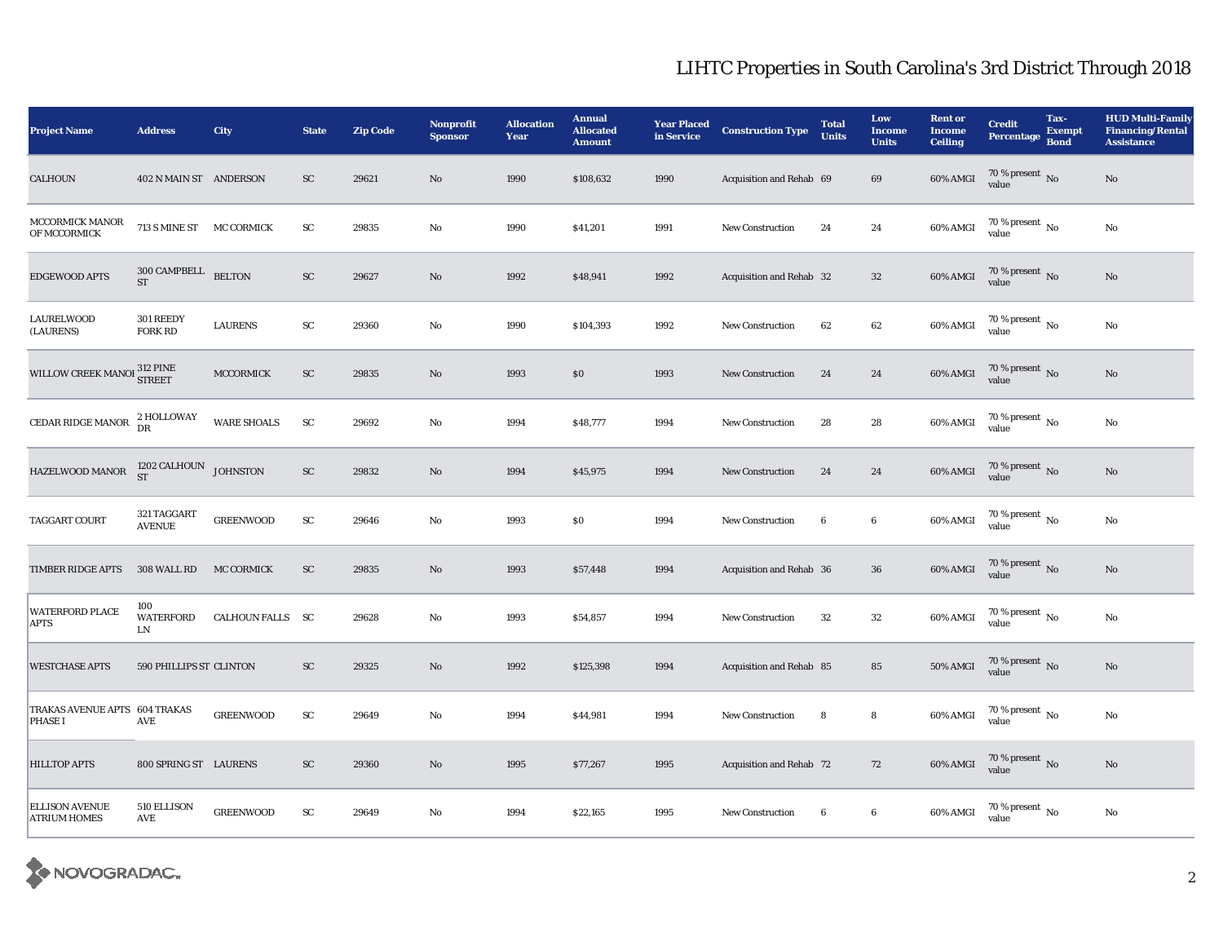| <b>Project Name</b>                             | <b>Address</b>                      | City               | <b>State</b> | <b>Zip Code</b> | Nonprofit<br><b>Sponsor</b> | <b>Allocation</b><br>Year | <b>Annual</b><br><b>Allocated</b><br><b>Amount</b> | <b>Year Placed</b><br>in Service | <b>Construction Type</b> | <b>Total</b><br><b>Units</b> | Low<br><b>Income</b><br><b>Units</b> | <b>Rent or</b><br><b>Income</b><br><b>Ceiling</b> | <b>Credit</b><br><b>Percentage</b>     | Tax-<br><b>Exempt</b><br><b>Bond</b> | <b>HUD Multi-Family</b><br><b>Financing/Rental</b><br><b>Assistance</b> |
|-------------------------------------------------|-------------------------------------|--------------------|--------------|-----------------|-----------------------------|---------------------------|----------------------------------------------------|----------------------------------|--------------------------|------------------------------|--------------------------------------|---------------------------------------------------|----------------------------------------|--------------------------------------|-------------------------------------------------------------------------|
| CALHOUN                                         | 402 N MAIN ST ANDERSON              |                    | SC           | 29621           | No                          | 1990                      | \$108,632                                          | 1990                             | Acquisition and Rehab 69 |                              | 69                                   | 60% AMGI                                          | $70\,\%$ present $\,$ No value         |                                      | $\rm No$                                                                |
| MCCORMICK MANOR<br>OF MCCORMICK                 | 713 S MINE ST MC CORMICK            |                    | ${\rm SC}$   | 29835           | No                          | 1990                      | \$41,201                                           | 1991                             | <b>New Construction</b>  | 24                           | $\bf 24$                             | 60% AMGI                                          | $70$ % present $\,$ No $\,$<br>value   |                                      | No                                                                      |
| <b>EDGEWOOD APTS</b>                            | $300$ CAMPBELL $\quad$ BELTON<br>ST |                    | ${\rm SC}$   | 29627           | No                          | 1992                      | \$48,941                                           | 1992                             | Acquisition and Rehab 32 |                              | 32                                   | 60% AMGI                                          | $70\,\%$ present $\,$ No value         |                                      | No                                                                      |
| <b>LAURELWOOD</b><br>(LAURENS)                  | 301 REEDY<br>FORK RD                | <b>LAURENS</b>     | ${\rm sc}$   | 29360           | No                          | 1990                      | \$104,393                                          | 1992                             | <b>New Construction</b>  | 62                           | 62                                   | 60% AMGI                                          | 70 % present $\,$ No $\,$<br>value     |                                      | $\rm No$                                                                |
| WILLOW CREEK MANOI 312 PINE                     |                                     | MCCORMICK          | ${\rm SC}$   | 29835           | No                          | 1993                      | $\$0$                                              | 1993                             | New Construction         | 24                           | 24                                   | 60% AMGI                                          | $70\,\%$ present $\,$ No value         |                                      | No                                                                      |
| CEDAR RIDGE MANOR                               | 2 HOLLOWAY<br>DR                    | <b>WARE SHOALS</b> | ${\rm SC}$   | 29692           | No                          | 1994                      | \$48,777                                           | 1994                             | <b>New Construction</b>  | 28                           | 28                                   | 60% AMGI                                          | 70 % present $\overline{N_0}$<br>value |                                      | $\rm No$                                                                |
| HAZELWOOD MANOR                                 | $1202$ CALHOUN $\,$ JOHNSTON ST     |                    | ${\rm SC}$   | 29832           | No                          | 1994                      | \$45,975                                           | 1994                             | <b>New Construction</b>  | 24                           | 24                                   | 60% AMGI                                          | $70\,\%$ present $\,$ No value         |                                      | No                                                                      |
| TAGGART COURT                                   | 321 TAGGART<br><b>AVENUE</b>        | <b>GREENWOOD</b>   | ${\bf SC}$   | 29646           | No                          | 1993                      | $\$0$                                              | 1994                             | <b>New Construction</b>  | 6                            | $\bf 6$                              | 60% AMGI                                          | 70 % present $\,$ No $\,$<br>value     |                                      | No                                                                      |
| <b>TIMBER RIDGE APTS</b>                        | 308 WALL RD                         | <b>MC CORMICK</b>  | ${\rm SC}$   | 29835           | No                          | 1993                      | \$57,448                                           | 1994                             | Acquisition and Rehab 36 |                              | $36\,$                               | 60% AMGI                                          | $70\,\%$ present $\,$ No value         |                                      | No                                                                      |
| <b>WATERFORD PLACE</b><br><b>APTS</b>           | 100<br><b>WATERFORD</b><br>LN       | CALHOUN FALLS SC   |              | 29628           | No                          | 1993                      | \$54,857                                           | 1994                             | <b>New Construction</b>  | 32                           | $32\,$                               | 60% AMGI                                          | $70$ % present $\,$ No $\,$<br>value   |                                      | No                                                                      |
| <b>WESTCHASE APTS</b>                           | 590 PHILLIPS ST CLINTON             |                    | SC           | 29325           | No                          | 1992                      | \$125,398                                          | 1994                             | Acquisition and Rehab 85 |                              | 85                                   | <b>50% AMGI</b>                                   | $70\,\%$ present $\,$ No value         |                                      | No                                                                      |
| TRAKAS AVENUE APTS 604 TRAKAS<br><b>PHASE I</b> | AVE                                 | <b>GREENWOOD</b>   | ${\bf SC}$   | 29649           | No                          | 1994                      | \$44,981                                           | 1994                             | <b>New Construction</b>  | 8                            | 8                                    | $60\%$ AMGI                                       | $70$ % present $\,$ No $\,$<br>value   |                                      | No                                                                      |
| <b>HILLTOP APTS</b>                             | 800 SPRING ST LAURENS               |                    | <b>SC</b>    | 29360           | No                          | 1995                      | \$77,267                                           | 1995                             | Acquisition and Rehab 72 |                              | 72                                   | 60% AMGI                                          | $70\,\%$ present $\,$ No value         |                                      | No                                                                      |
| <b>ELLISON AVENUE</b><br><b>ATRIUM HOMES</b>    | 510 ELLISON<br>AVE                  | <b>GREENWOOD</b>   | ${\rm SC}$   | 29649           | No                          | 1994                      | \$22,165                                           | 1995                             | <b>New Construction</b>  | 6                            | $\bf 6$                              | 60% AMGI                                          | $70\,\%$ present $\,$ No $\,$<br>value |                                      | No                                                                      |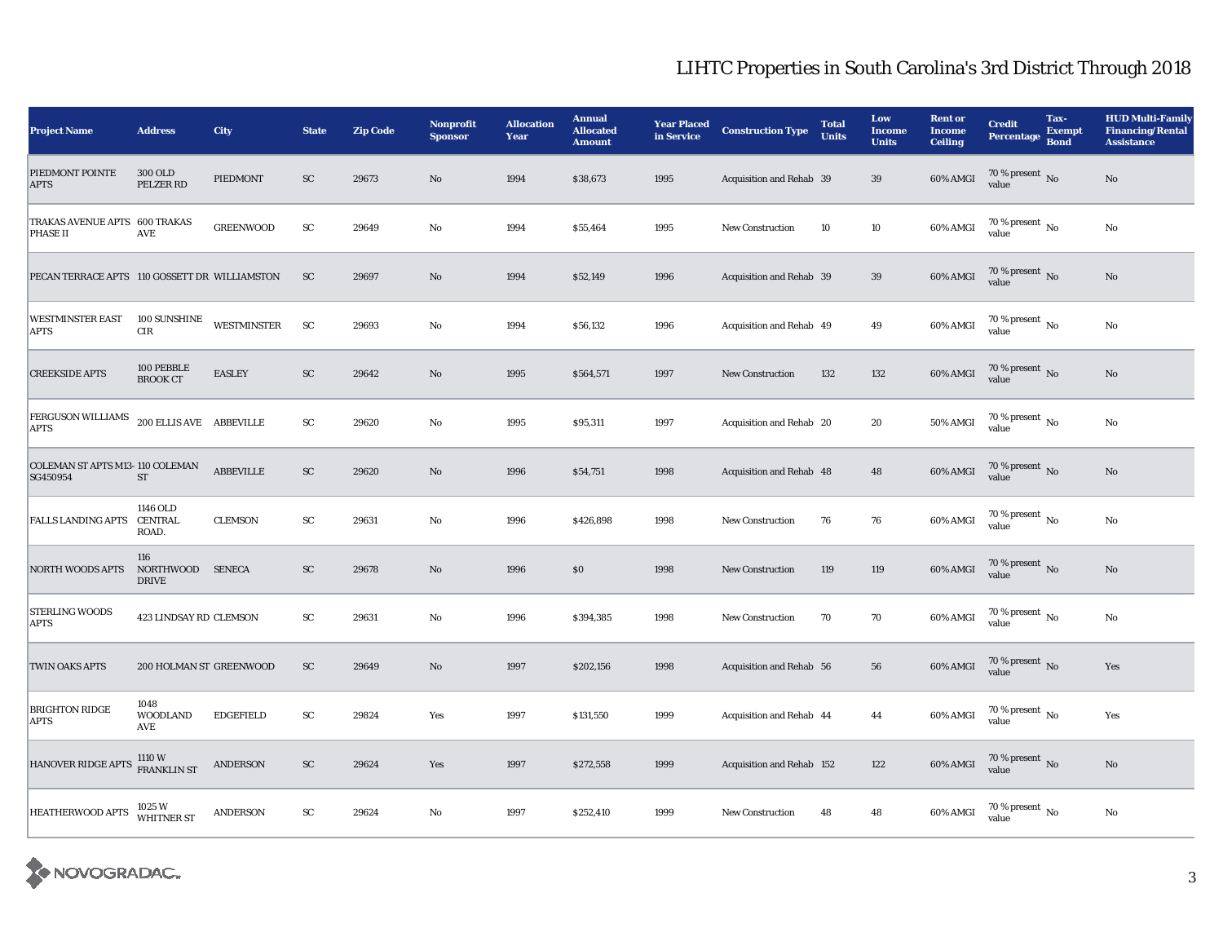| <b>Project Name</b>                           | <b>Address</b>                      | City               | <b>State</b> | <b>Zip Code</b> | <b>Nonprofit</b><br><b>Sponsor</b> | <b>Allocation</b><br>Year | <b>Annual</b><br><b>Allocated</b><br><b>Amount</b> | <b>Year Placed</b><br>in Service | <b>Construction Type</b>  | <b>Total</b><br><b>Units</b> | Low<br><b>Income</b><br><b>Units</b> | <b>Rent or</b><br><b>Income</b><br><b>Ceiling</b> | <b>Credit</b><br>Percentage            | Tax-<br><b>Exempt</b><br><b>Bond</b> | <b>HUD Multi-Family</b><br><b>Financing/Rental</b><br><b>Assistance</b> |
|-----------------------------------------------|-------------------------------------|--------------------|--------------|-----------------|------------------------------------|---------------------------|----------------------------------------------------|----------------------------------|---------------------------|------------------------------|--------------------------------------|---------------------------------------------------|----------------------------------------|--------------------------------------|-------------------------------------------------------------------------|
| PIEDMONT POINTE<br><b>APTS</b>                | 300 OLD<br>PELZER RD                | PIEDMONT           | <b>SC</b>    | 29673           | $\mathbf{N}\mathbf{o}$             | 1994                      | \$38,673                                           | 1995                             | Acquisition and Rehab 39  |                              | 39                                   | 60% AMGI                                          | $70\,\%$ present $\,$ No value         |                                      | No                                                                      |
| TRAKAS AVENUE APTS 600 TRAKAS<br>PHASE II     | AVE                                 | <b>GREENWOOD</b>   | ${\rm SC}$   | 29649           | No                                 | 1994                      | \$55,464                                           | 1995                             | <b>New Construction</b>   | 10                           | $10\,$                               | 60% AMGI                                          | 70 % present $\,$ No $\,$<br>value     |                                      | No                                                                      |
| PECAN TERRACE APTS 110 GOSSETT DR WILLIAMSTON |                                     |                    | <b>SC</b>    | 29697           | $\mathbf{N}\mathbf{o}$             | 1994                      | \$52,149                                           | 1996                             | Acquisition and Rehab 39  |                              | 39                                   | 60% AMGI                                          | $70\,\%$ present $_{\rm{No}}$          |                                      | No                                                                      |
| <b>WESTMINSTER EAST</b><br><b>APTS</b>        | 100 SUNSHINE<br>$\rm CIR$           | <b>WESTMINSTER</b> | ${\rm SC}$   | 29693           | No                                 | 1994                      | \$56,132                                           | 1996                             | Acquisition and Rehab 49  |                              | 49                                   | 60% AMGI                                          | 70 % present $\,$ No $\,$<br>value     |                                      | No                                                                      |
| <b>CREEKSIDE APTS</b>                         | 100 PEBBLE<br><b>BROOK CT</b>       | <b>EASLEY</b>      | ${\rm SC}$   | 29642           | No                                 | 1995                      | \$564,571                                          | 1997                             | <b>New Construction</b>   | 132                          | 132                                  | 60% AMGI                                          | $70\,\%$ present $\,$ No value         |                                      | No                                                                      |
| FERGUSON WILLIAMS<br><b>APTS</b>              | 200 ELLIS AVE ABBEVILLE             |                    | ${\rm SC}$   | 29620           | No                                 | 1995                      | \$95,311                                           | 1997                             | Acquisition and Rehab 20  |                              | 20                                   | 50% AMGI                                          | 70 % present $\,$ No $\,$<br>value     |                                      | No                                                                      |
| COLEMAN ST APTS M13-110 COLEMAN<br>SG450954   | ST                                  | ABBEVILLE          | ${\rm SC}$   | 29620           | $\mathbf{N}\mathbf{o}$             | 1996                      | \$54,751                                           | 1998                             | Acquisition and Rehab 48  |                              | 48                                   | 60% AMGI                                          | $70\,\%$ present $\,$ No value         |                                      | No                                                                      |
| <b>FALLS LANDING APTS</b>                     | 1146 OLD<br><b>CENTRAL</b><br>ROAD. | <b>CLEMSON</b>     | ${\rm SC}$   | 29631           | No                                 | 1996                      | \$426,898                                          | 1998                             | <b>New Construction</b>   | 76                           | 76                                   | 60% AMGI                                          | $70$ % present $\,$ No $\,$<br>value   |                                      | $\rm No$                                                                |
| <b>NORTH WOODS APTS</b>                       | 116<br>NORTHWOOD<br><b>DRIVE</b>    | <b>SENECA</b>      | ${\rm SC}$   | 29678           | No                                 | 1996                      | \$0                                                | 1998                             | <b>New Construction</b>   | 119                          | 119                                  | 60% AMGI                                          | $70\,\%$ present $\,$ No value         |                                      | No                                                                      |
| STERLING WOODS<br><b>APTS</b>                 | 423 LINDSAY RD CLEMSON              |                    | ${\rm SC}$   | 29631           | No                                 | 1996                      | \$394,385                                          | 1998                             | <b>New Construction</b>   | 70                           | 70                                   | 60% AMGI                                          | $70\,\%$ present $\,$ No value         |                                      | No                                                                      |
| <b>TWIN OAKS APTS</b>                         | 200 HOLMAN ST GREENWOOD             |                    | ${\rm sc}$   | 29649           | No                                 | 1997                      | \$202,156                                          | 1998                             | Acquisition and Rehab 56  |                              | 56                                   | 60% AMGI                                          | $70\,\%$ present $\,$ No value         |                                      | Yes                                                                     |
| <b>BRIGHTON RIDGE</b><br><b>APTS</b>          | 1048<br><b>WOODLAND</b><br>AVE      | <b>EDGEFIELD</b>   | ${\rm SC}$   | 29824           | Yes                                | 1997                      | \$131,550                                          | 1999                             | Acquisition and Rehab 44  |                              | 44                                   | 60% AMGI                                          | 70 % present $\overline{N_0}$<br>value |                                      | Yes                                                                     |
| <b>HANOVER RIDGE APTS</b>                     | 1110 W<br>FRANKLIN ST               | <b>ANDERSON</b>    | ${\rm SC}$   | 29624           | Yes                                | 1997                      | \$272,558                                          | 1999                             | Acquisition and Rehab 152 |                              | 122                                  | $60\%$ AMGI                                       | $70\,\%$ present $\,$ No value         |                                      | No                                                                      |
| <b>HEATHERWOOD APTS</b>                       | 1025 W<br><b>WHITNER ST</b>         | <b>ANDERSON</b>    | ${\rm SC}$   | 29624           | No                                 | 1997                      | \$252,410                                          | 1999                             | <b>New Construction</b>   | 48                           | 48                                   | 60% AMGI                                          | 70 % present $\,$ No $\,$<br>value     |                                      | No                                                                      |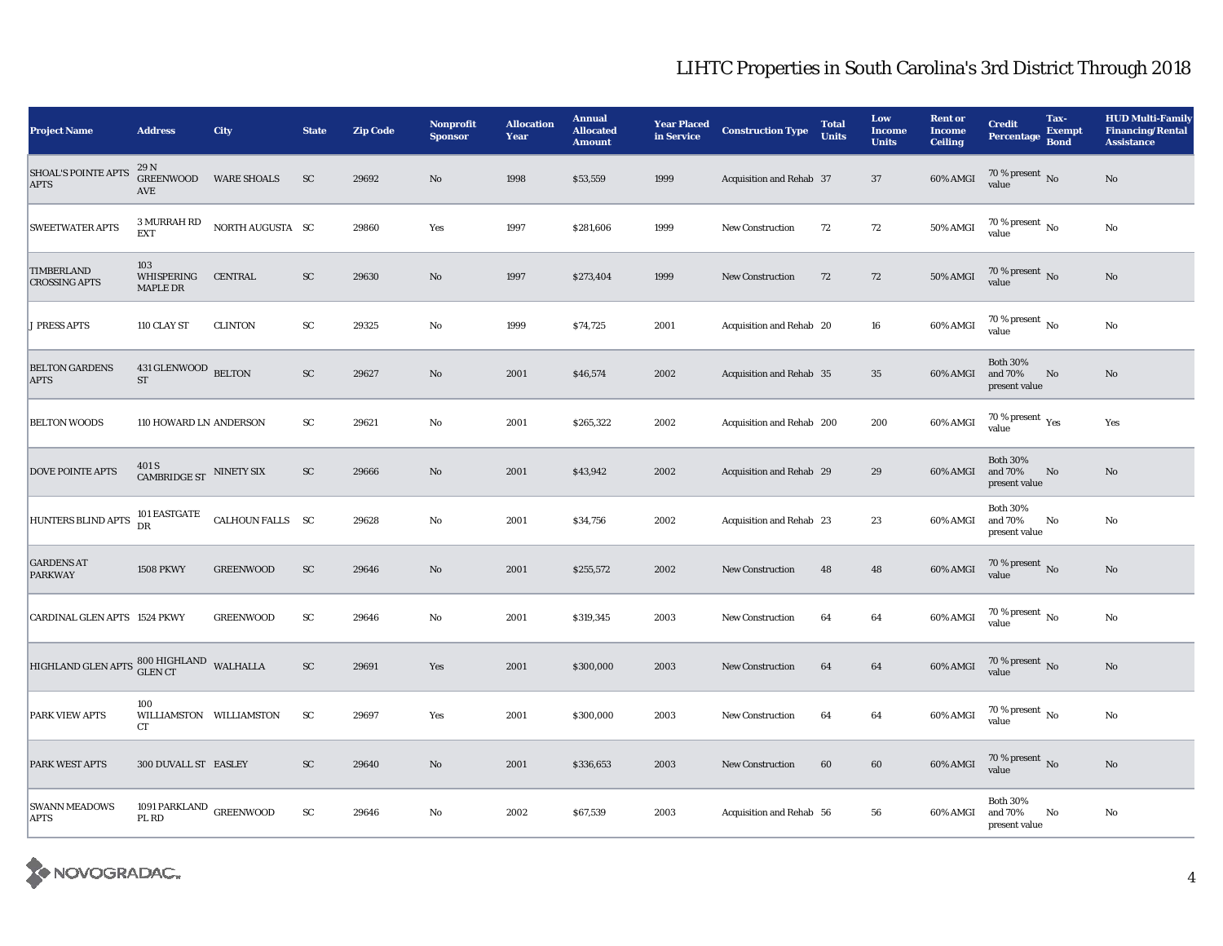| <b>Project Name</b>                                                       | <b>Address</b>                            | City               | <b>State</b> | <b>Zip Code</b> | <b>Nonprofit</b><br><b>Sponsor</b> | <b>Allocation</b><br>Year | <b>Annual</b><br><b>Allocated</b><br><b>Amount</b> | <b>Year Placed</b><br>in Service | <b>Construction Type</b>  | <b>Total</b><br><b>Units</b> | Low<br><b>Income</b><br><b>Units</b> | <b>Rent or</b><br><b>Income</b><br><b>Ceiling</b> | <b>Credit</b><br><b>Percentage</b>          | Tax-<br><b>Exempt</b><br><b>Bond</b> | <b>HUD Multi-Family</b><br><b>Financing/Rental</b><br><b>Assistance</b> |
|---------------------------------------------------------------------------|-------------------------------------------|--------------------|--------------|-----------------|------------------------------------|---------------------------|----------------------------------------------------|----------------------------------|---------------------------|------------------------------|--------------------------------------|---------------------------------------------------|---------------------------------------------|--------------------------------------|-------------------------------------------------------------------------|
| <b>SHOAL'S POINTE APTS</b><br><b>APTS</b>                                 | 29 N<br><b>GREENWOOD</b><br>AVE           | <b>WARE SHOALS</b> | <b>SC</b>    | 29692           | N <sub>o</sub>                     | 1998                      | \$53,559                                           | 1999                             | Acquisition and Rehab 37  |                              | 37                                   | 60% AMGI                                          | $70\,\%$ present $\,$ No value              |                                      | No                                                                      |
| <b>SWEETWATER APTS</b>                                                    | 3 MURRAH RD<br><b>EXT</b>                 | NORTH AUGUSTA SC   |              | 29860           | Yes                                | 1997                      | \$281,606                                          | 1999                             | <b>New Construction</b>   | 72                           | 72                                   | 50% AMGI                                          | 70 % present $\,$ No $\,$<br>value          |                                      | No                                                                      |
| <b>TIMBERLAND</b><br><b>CROSSING APTS</b>                                 | 103<br>WHISPERING<br>MAPLE DR             | <b>CENTRAL</b>     | ${\rm SC}$   | 29630           | No                                 | 1997                      | \$273,404                                          | 1999                             | <b>New Construction</b>   | 72                           | 72                                   | <b>50% AMGI</b>                                   | $70\,\%$ present $\,$ No value              |                                      | No                                                                      |
| <b>J PRESS APTS</b>                                                       | 110 CLAY ST                               | <b>CLINTON</b>     | SC           | 29325           | No                                 | 1999                      | \$74,725                                           | 2001                             | Acquisition and Rehab 20  |                              | 16                                   | 60% AMGI                                          | 70 % present $\hbox{~No}$<br>value          |                                      | No                                                                      |
| <b>BELTON GARDENS</b><br><b>APTS</b>                                      | 431 GLENWOOD BELTON<br>ST                 |                    | ${\rm SC}$   | 29627           | No                                 | 2001                      | \$46,574                                           | 2002                             | Acquisition and Rehab 35  |                              | 35                                   | 60% AMGI                                          | <b>Both 30%</b><br>and 70%<br>present value | No                                   | No                                                                      |
| <b>BELTON WOODS</b>                                                       | 110 HOWARD LN ANDERSON                    |                    | <b>SC</b>    | 29621           | No                                 | 2001                      | \$265,322                                          | 2002                             | Acquisition and Rehab 200 |                              | 200                                  | 60% AMGI                                          | 70 % present $\rm \gamma_{\rm es}$<br>value |                                      | Yes                                                                     |
| <b>DOVE POINTE APTS</b>                                                   | 401 S<br>CAMBRIDGE ST NINETY SIX          |                    | ${\rm SC}$   | 29666           | No                                 | 2001                      | \$43,942                                           | 2002                             | Acquisition and Rehab 29  |                              | 29                                   | 60% AMGI                                          | <b>Both 30%</b><br>and 70%<br>present value | $\mathbf{N}\mathbf{o}$               | No                                                                      |
| HUNTERS BLIND APTS                                                        | 101 EASTGATE<br><b>DR</b>                 | CALHOUN FALLS SC   |              | 29628           | No                                 | 2001                      | \$34,756                                           | 2002                             | Acquisition and Rehab 23  |                              | 23                                   | 60% AMGI                                          | <b>Both 30%</b><br>and 70%<br>present value | No                                   | No                                                                      |
| <b>GARDENS AT</b><br><b>PARKWAY</b>                                       | <b>1508 PKWY</b>                          | <b>GREENWOOD</b>   | SC           | 29646           | No                                 | 2001                      | \$255,572                                          | 2002                             | <b>New Construction</b>   | 48                           | 48                                   | 60% AMGI                                          | $70\%$ present No<br>value                  |                                      | No                                                                      |
| CARDINAL GLEN APTS 1524 PKWY                                              |                                           | <b>GREENWOOD</b>   | SC           | 29646           | No                                 | 2001                      | \$319,345                                          | 2003                             | <b>New Construction</b>   | 64                           | 64                                   | $60\%$ AMGI                                       | $70\%$ present No<br>value                  |                                      | No                                                                      |
| HIGHLAND GLEN APTS $\frac{800 \text{ HIGHLAND}}{\text{GLEN CT}}$ WALHALLA |                                           |                    | ${\rm SC}$   | 29691           | Yes                                | 2001                      | \$300,000                                          | 2003                             | <b>New Construction</b>   | 64                           | 64                                   | $60\%$ AMGI                                       | $70\,\%$ present $\,$ No value              |                                      | No                                                                      |
| PARK VIEW APTS                                                            | 100<br>WILLIAMSTON WILLIAMSTON<br>CT      |                    | SC           | 29697           | Yes                                | 2001                      | \$300,000                                          | 2003                             | <b>New Construction</b>   | 64                           | 64                                   | 60% AMGI                                          | $70\,\%$ present $\,$ No value              |                                      | No                                                                      |
| <b>PARK WEST APTS</b>                                                     | 300 DUVALL ST EASLEY                      |                    | <b>SC</b>    | 29640           | No                                 | 2001                      | \$336,653                                          | 2003                             | <b>New Construction</b>   | 60                           | 60                                   | 60% AMGI                                          | $70\,\%$ present $\,$ No value              |                                      | No                                                                      |
| <b>SWANN MEADOWS</b><br><b>APTS</b>                                       | 1091 PARKLAND $_{\rm GREENWOOD}$<br>PL RD |                    | SC           | 29646           | No                                 | 2002                      | \$67,539                                           | 2003                             | Acquisition and Rehab 56  |                              | 56                                   | 60% AMGI                                          | <b>Both 30%</b><br>and 70%<br>present value | No                                   | No                                                                      |

X NOVOGRADAC.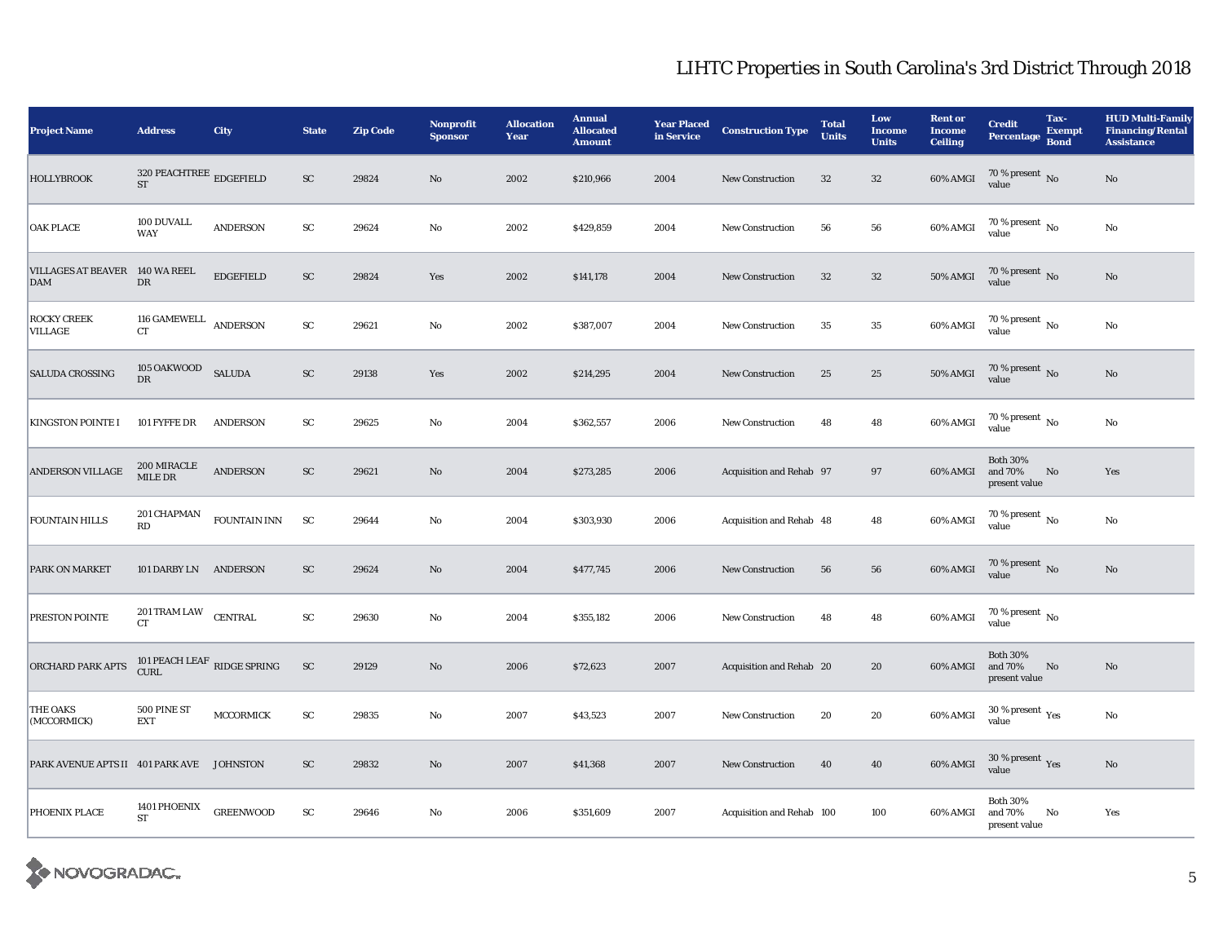| <b>Project Name</b>                          | <b>Address</b>                                        | City                                  | <b>State</b> | <b>Zip Code</b> | <b>Nonprofit</b><br><b>Sponsor</b> | <b>Allocation</b><br>Year | <b>Annual</b><br><b>Allocated</b><br><b>Amount</b> | <b>Year Placed</b><br>in Service | <b>Construction Type</b>  | <b>Total</b><br><b>Units</b> | Low<br><b>Income</b><br><b>Units</b> | <b>Rent or</b><br><b>Income</b><br><b>Ceiling</b> | <b>Credit</b><br>Percentage                 | Tax-<br><b>Exempt</b><br><b>Bond</b> | <b>HUD Multi-Family</b><br><b>Financing/Rental</b><br><b>Assistance</b> |
|----------------------------------------------|-------------------------------------------------------|---------------------------------------|--------------|-----------------|------------------------------------|---------------------------|----------------------------------------------------|----------------------------------|---------------------------|------------------------------|--------------------------------------|---------------------------------------------------|---------------------------------------------|--------------------------------------|-------------------------------------------------------------------------|
| <b>HOLLYBROOK</b>                            | 320 PEACHTREE $_{\rm\bf \underline{E}DGEFIELD}$<br>ST |                                       | ${\rm SC}$   | 29824           | No                                 | 2002                      | \$210,966                                          | 2004                             | <b>New Construction</b>   | 32                           | $32\,$                               | 60% AMGI                                          | $70\,\%$ present $\,$ No value              |                                      | $\rm No$                                                                |
| <b>OAK PLACE</b>                             | 100 DUVALL<br><b>WAY</b>                              | <b>ANDERSON</b>                       | ${\rm SC}$   | 29624           | No                                 | 2002                      | \$429,859                                          | 2004                             | <b>New Construction</b>   | 56                           | 56                                   | 60% AMGI                                          | 70 % present $\,$ No $\,$<br>value          |                                      | $\rm No$                                                                |
| VILLAGES AT BEAVER 140 WA REEL<br><b>DAM</b> | ${\rm DR}$                                            | <b>EDGEFIELD</b>                      | ${\rm SC}$   | 29824           | Yes                                | 2002                      | \$141,178                                          | 2004                             | <b>New Construction</b>   | 32                           | $32\,$                               | 50% AMGI                                          | $70\,\%$ present $\,$ No value              |                                      | $\mathbf{N}\mathbf{o}$                                                  |
| <b>ROCKY CREEK</b><br><b>VILLAGE</b>         | 116 GAMEWELL<br><b>CT</b>                             | <b>ANDERSON</b>                       | ${\rm SC}$   | 29621           | $\rm No$                           | 2002                      | \$387,007                                          | 2004                             | <b>New Construction</b>   | 35                           | $\bf 35$                             | 60% AMGI                                          | 70 % present $\,$ No $\,$<br>value          |                                      | $\rm No$                                                                |
| <b>SALUDA CROSSING</b>                       | 105 OAKWOOD<br>${\rm DR}$                             | <b>SALUDA</b>                         | ${\rm SC}$   | 29138           | Yes                                | 2002                      | \$214,295                                          | 2004                             | <b>New Construction</b>   | 25                           | $25\,$                               | $50\%$ AMGI                                       | $70\,\%$ present $\,$ No value              |                                      | $\rm No$                                                                |
| <b>KINGSTON POINTE I</b>                     | 101 FYFFE DR                                          | <b>ANDERSON</b>                       | ${\rm sc}$   | 29625           | No                                 | 2004                      | \$362,557                                          | 2006                             | <b>New Construction</b>   | 48                           | 48                                   | 60% AMGI                                          | 70 % present $\,$ No $\,$<br>value          |                                      | No                                                                      |
| <b>ANDERSON VILLAGE</b>                      | 200 MIRACLE<br>MILE DR                                | <b>ANDERSON</b>                       | ${\rm SC}$   | 29621           | $\mathbf{N}\mathbf{o}$             | 2004                      | \$273,285                                          | 2006                             | Acquisition and Rehab 97  |                              | 97                                   | 60% AMGI                                          | <b>Both 30%</b><br>and 70%<br>present value | No                                   | Yes                                                                     |
| <b>FOUNTAIN HILLS</b>                        | 201 CHAPMAN<br>RD                                     | FOUNTAIN INN                          | ${\rm SC}$   | 29644           | No                                 | 2004                      | \$303,930                                          | 2006                             | Acquisition and Rehab 48  |                              | 48                                   | 60% AMGI                                          | $70\,\%$ present $\,$ No value              |                                      | $\rm No$                                                                |
| <b>PARK ON MARKET</b>                        | 101 DARBY LN ANDERSON                                 |                                       | ${\rm SC}$   | 29624           | $\rm No$                           | 2004                      | \$477,745                                          | 2006                             | <b>New Construction</b>   | 56                           | ${\bf 56}$                           | 60% AMGI                                          | $70\,\%$ present $\,$ No value              |                                      | $\mathbf{N}\mathbf{o}$                                                  |
| PRESTON POINTE                               | 201 TRAM LAW<br><b>CT</b>                             | <b>CENTRAL</b>                        | ${\rm sc}$   | 29630           | No                                 | 2004                      | \$355,182                                          | 2006                             | <b>New Construction</b>   | 48                           | 48                                   | 60% AMGI                                          | 70 % present $\,$ No $\,$<br>value          |                                      |                                                                         |
| <b>ORCHARD PARK APTS</b>                     |                                                       | 101 PEACH LEAF $\,$ RIDGE SPRING CURL | <b>SC</b>    | 29129           | $\mathbf{N}\mathbf{o}$             | 2006                      | \$72,623                                           | 2007                             | Acquisition and Rehab 20  |                              | 20                                   | 60% AMGI                                          | <b>Both 30%</b><br>and 70%<br>present value | No                                   | $\mathbf{N}\mathbf{o}$                                                  |
| <b>THE OAKS</b><br>(MCCORMICK)               | 500 PINE ST<br><b>EXT</b>                             | <b>MCCORMICK</b>                      | ${\rm SC}$   | 29835           | No                                 | 2007                      | \$43,523                                           | 2007                             | New Construction          | 20                           | 20                                   | 60% AMGI                                          | $30\,\%$ present $\,\mathrm{Yes}$ value     |                                      | $\rm No$                                                                |
| PARK AVENUE APTS II 401 PARK AVE JOHNSTON    |                                                       |                                       | <b>SC</b>    | 29832           | No                                 | 2007                      | \$41,368                                           | 2007                             | <b>New Construction</b>   | 40                           | 40                                   | 60% AMGI                                          | $30\,\%$ present $\,\mathrm{Yes}$ value     |                                      | $\mathbf{N}\mathbf{o}$                                                  |
| PHOENIX PLACE                                | 1401 PHOENIX<br><b>ST</b>                             | <b>GREENWOOD</b>                      | ${\rm SC}$   | 29646           | No                                 | 2006                      | \$351,609                                          | 2007                             | Acquisition and Rehab 100 |                              | 100                                  | 60% AMGI                                          | <b>Both 30%</b><br>and 70%<br>present value | No                                   | Yes                                                                     |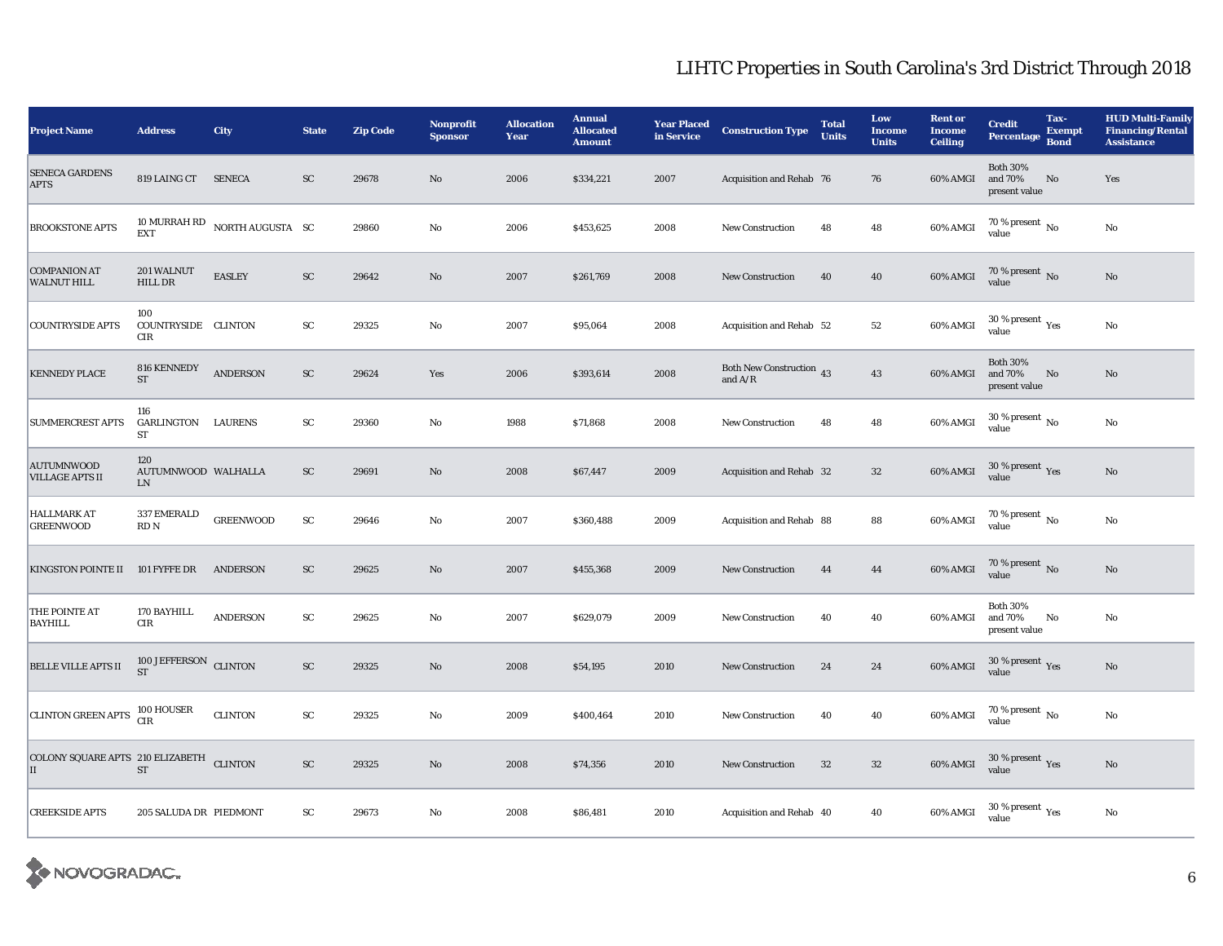| <b>Project Name</b>                                      | <b>Address</b>                          | City                          | <b>State</b>  | <b>Zip Code</b> | Nonprofit<br><b>Sponsor</b> | <b>Allocation</b><br>Year | <b>Annual</b><br><b>Allocated</b><br><b>Amount</b> | <b>Year Placed</b><br>in Service | <b>Construction Type</b>              | <b>Total</b><br><b>Units</b> | Low<br><b>Income</b><br><b>Units</b> | <b>Rent or</b><br><b>Income</b><br><b>Ceiling</b> | <b>Credit</b><br><b>Percentage</b>          | Tax-<br><b>Exempt</b><br><b>Bond</b> | <b>HUD Multi-Family</b><br><b>Financing/Rental</b><br><b>Assistance</b> |
|----------------------------------------------------------|-----------------------------------------|-------------------------------|---------------|-----------------|-----------------------------|---------------------------|----------------------------------------------------|----------------------------------|---------------------------------------|------------------------------|--------------------------------------|---------------------------------------------------|---------------------------------------------|--------------------------------------|-------------------------------------------------------------------------|
| <b>SENECA GARDENS</b><br><b>APTS</b>                     | 819 LAING CT                            | <b>SENECA</b>                 | ${\rm SC}$    | 29678           | $\mathbf{N}\mathbf{o}$      | 2006                      | \$334,221                                          | 2007                             | Acquisition and Rehab 76              |                              | 76                                   | 60% AMGI                                          | <b>Both 30%</b><br>and 70%<br>present value | No                                   | Yes                                                                     |
| <b>BROOKSTONE APTS</b>                                   | <b>EXT</b>                              | 10 MURRAH RD NORTH AUGUSTA SC |               | 29860           | $\rm No$                    | 2006                      | \$453,625                                          | 2008                             | <b>New Construction</b>               | 48                           | 48                                   | 60% AMGI                                          | 70 % present $\,$ No $\,$<br>value          |                                      | $\rm No$                                                                |
| <b>COMPANION AT</b><br><b>WALNUT HILL</b>                | 201 WALNUT<br>HILL DR                   | <b>EASLEY</b>                 | ${\rm SC}$    | 29642           | $\rm No$                    | 2007                      | \$261,769                                          | 2008                             | New Construction                      | 40                           | ${\bf 40}$                           | 60% AMGI                                          | $70\,\%$ present $\,$ No value              |                                      | $\rm No$                                                                |
| <b>COUNTRYSIDE APTS</b>                                  | 100<br>COUNTRYSIDE CLINTON<br>CIR       |                               | $\mathbf{SC}$ | 29325           | No                          | 2007                      | \$95,064                                           | 2008                             | Acquisition and Rehab 52              |                              | 52                                   | 60% AMGI                                          | $30$ % present $\,$ $\rm Yes$<br>value      |                                      | $\rm No$                                                                |
| <b>KENNEDY PLACE</b>                                     | 816 KENNEDY<br><b>ST</b>                | <b>ANDERSON</b>               | ${\rm SC}$    | 29624           | Yes                         | 2006                      | \$393,614                                          | 2008                             | Both New Construction 43<br>and $A/R$ |                              | 43                                   | 60% AMGI                                          | <b>Both 30%</b><br>and 70%<br>present value | No                                   | $\mathbf{N}\mathbf{o}$                                                  |
| <b>SUMMERCREST APTS</b>                                  | 116<br>GARLINGTON LAURENS<br>ST         |                               | ${\rm SC}$    | 29360           | No                          | 1988                      | \$71,868                                           | 2008                             | <b>New Construction</b>               | 48                           | 48                                   | 60% AMGI                                          | 30 % present $_{\rm No}$<br>value           |                                      | $\rm No$                                                                |
| <b>AUTUMNWOOD</b><br><b>VILLAGE APTS II</b>              | 120<br>AUTUMNWOOD WALHALLA<br><b>LN</b> |                               | ${\rm SC}$    | 29691           | $\rm No$                    | 2008                      | \$67,447                                           | 2009                             | Acquisition and Rehab 32              |                              | $32\,$                               | 60% AMGI                                          | $30\,\%$ present $\,\mathrm{Yes}$ value     |                                      | $\rm No$                                                                |
| <b>HALLMARK AT</b><br><b>GREENWOOD</b>                   | 337 EMERALD<br>RD <sub>N</sub>          | <b>GREENWOOD</b>              | ${\rm sc}$    | 29646           | No                          | 2007                      | \$360,488                                          | 2009                             | Acquisition and Rehab 88              |                              | 88                                   | 60% AMGI                                          | $70$ % present $\,$ No $\,$<br>value        |                                      | $\rm No$                                                                |
| KINGSTON POINTE II                                       | 101 FYFFE DR                            | <b>ANDERSON</b>               | ${\rm sc}$    | 29625           | $\mathbf{N}\mathbf{o}$      | 2007                      | \$455,368                                          | 2009                             | <b>New Construction</b>               | 44                           | 44                                   | 60% AMGI                                          | $70\,\%$ present $\,$ No value              |                                      | $\rm No$                                                                |
| THE POINTE AT<br><b>BAYHILL</b>                          | 170 BAYHILL<br><b>CIR</b>               | <b>ANDERSON</b>               | ${\rm SC}$    | 29625           | No                          | 2007                      | \$629,079                                          | 2009                             | <b>New Construction</b>               | 40                           | 40                                   | 60% AMGI                                          | <b>Both 30%</b><br>and 70%<br>present value | No                                   | No                                                                      |
| <b>BELLE VILLE APTS II</b>                               | 100 JEFFERSON CLINTON<br><b>ST</b>      |                               | ${\rm SC}$    | 29325           | $\rm No$                    | 2008                      | \$54,195                                           | 2010                             | <b>New Construction</b>               | 24                           | ${\bf 24}$                           | 60% AMGI                                          | $30\,\%$ present $\,\mathrm{Yes}$ value     |                                      | No                                                                      |
| CLINTON GREEN APTS 100 HOUSER                            |                                         | <b>CLINTON</b>                | ${\rm SC}$    | 29325           | $\rm No$                    | 2009                      | \$400,464                                          | 2010                             | <b>New Construction</b>               | 40                           | 40                                   | 60% AMGI                                          | $70\,\%$ present $\,$ No value              |                                      | $\rm No$                                                                |
| COLONY SQUARE APTS 210 ELIZABETH CLINTON<br>$\mathbf{I}$ | <b>ST</b>                               |                               | ${\rm SC}$    | 29325           | $\mathbf{N}\mathbf{o}$      | 2008                      | \$74,356                                           | 2010                             | New Construction                      | $32\,$                       | $32\,$                               | 60% AMGI                                          | $30\,\%$ present $\,\mathrm{Yes}$ value     |                                      | $\rm No$                                                                |
| <b>CREEKSIDE APTS</b>                                    | 205 SALUDA DR PIEDMONT                  |                               | $\mathbf{SC}$ | 29673           | No                          | 2008                      | \$86,481                                           | 2010                             | Acquisition and Rehab 40              |                              | 40                                   | 60% AMGI                                          | $30\,\%$ present $\,\mathrm{Yes}$ value     |                                      | $\rm No$                                                                |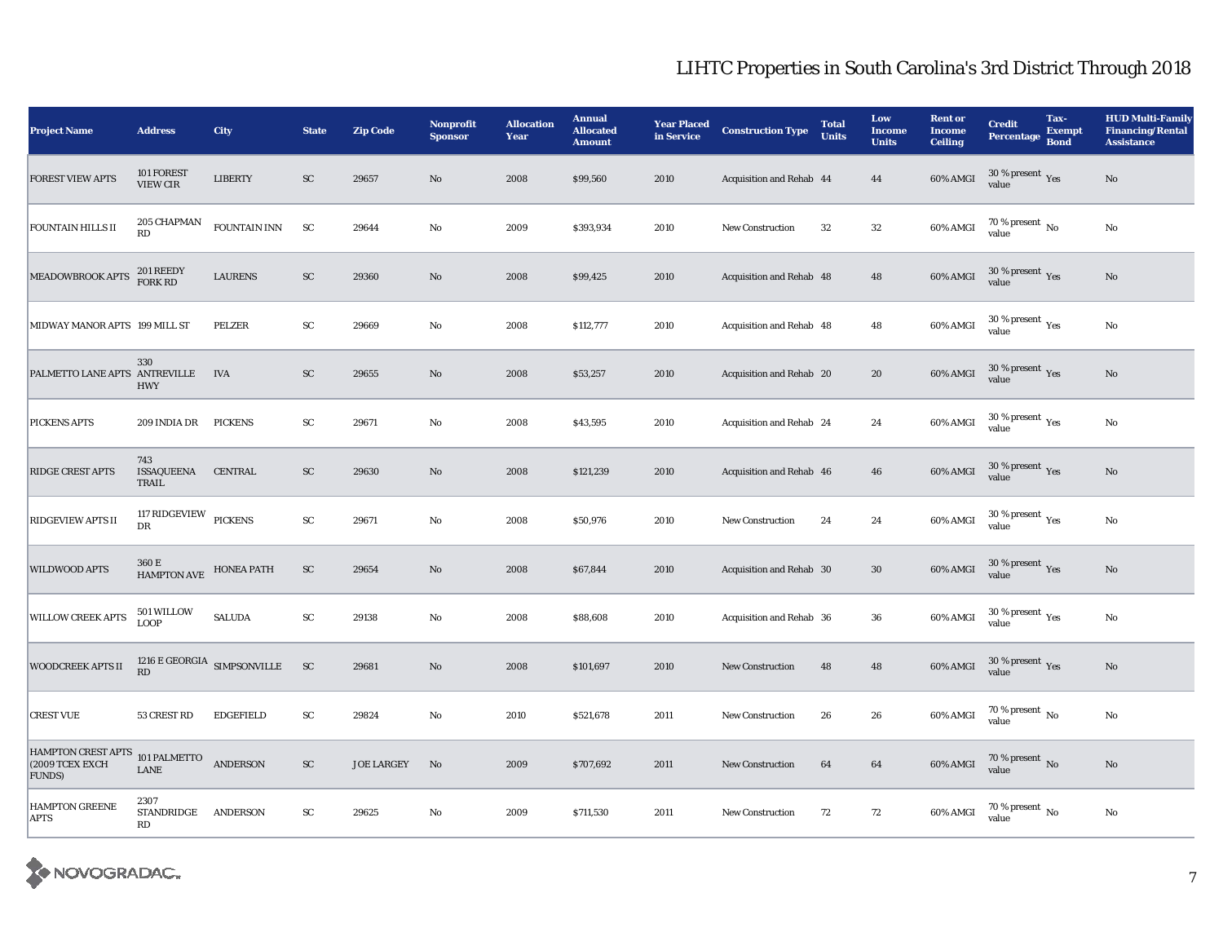| <b>Project Name</b>                                          | <b>Address</b>                    | City                                    | <b>State</b>  | <b>Zip Code</b>   | Nonprofit<br><b>Sponsor</b> | <b>Allocation</b><br>Year | <b>Annual</b><br><b>Allocated</b><br><b>Amount</b> | <b>Year Placed</b><br>in Service | <b>Construction Type</b> | <b>Total</b><br><b>Units</b> | Low<br><b>Income</b><br><b>Units</b> | <b>Rent or</b><br><b>Income</b><br><b>Ceiling</b> | <b>Credit</b><br><b>Percentage</b>                     | Tax-<br><b>Exempt</b><br><b>Bond</b> | <b>HUD Multi-Family</b><br><b>Financing/Rental</b><br><b>Assistance</b> |
|--------------------------------------------------------------|-----------------------------------|-----------------------------------------|---------------|-------------------|-----------------------------|---------------------------|----------------------------------------------------|----------------------------------|--------------------------|------------------------------|--------------------------------------|---------------------------------------------------|--------------------------------------------------------|--------------------------------------|-------------------------------------------------------------------------|
| <b>FOREST VIEW APTS</b>                                      | 101 FOREST<br><b>VIEW CIR</b>     | <b>LIBERTY</b>                          | SC            | 29657             | $\mathbf{N}\mathbf{o}$      | 2008                      | \$99,560                                           | 2010                             | Acquisition and Rehab 44 |                              | 44                                   | 60% AMGI                                          | $30\,\%$ present $\,\mathrm{Yes}$ value                |                                      | $\rm No$                                                                |
| <b>FOUNTAIN HILLS II</b>                                     | 205 CHAPMAN<br>RD                 | FOUNTAIN INN                            | <b>SC</b>     | 29644             | No                          | 2009                      | \$393,934                                          | 2010                             | <b>New Construction</b>  | 32                           | $32\,$                               | 60% AMGI                                          | 70 % present $\,$ No $\,$<br>value                     |                                      | No                                                                      |
| MEADOWBROOK APTS                                             | 201 REEDY<br>FORK RD              | <b>LAURENS</b>                          | ${\rm SC}$    | 29360             | $\rm No$                    | 2008                      | \$99,425                                           | 2010                             | Acquisition and Rehab 48 |                              | 48                                   | 60% AMGI                                          | $30\,\%$ present $\,\mathrm{Yes}$ value                |                                      | $\rm No$                                                                |
| MIDWAY MANOR APTS 199 MILL ST                                |                                   | PELZER                                  | ${\rm SC}$    | 29669             | No                          | 2008                      | \$112,777                                          | 2010                             | Acquisition and Rehab 48 |                              | 48                                   | 60% AMGI                                          | $30$ % present $\,$ $\rm Yes$<br>value                 |                                      | No                                                                      |
| PALMETTO LANE APTS ANTREVILLE                                | 330<br><b>HWY</b>                 | <b>IVA</b>                              | SC            | 29655             | No.                         | 2008                      | \$53,257                                           | 2010                             | Acquisition and Rehab 20 |                              | 20                                   | 60% AMGI                                          | $30\,\%$ present $\,\mathrm{Yes}$ value                |                                      | No                                                                      |
| PICKENS APTS                                                 | 209 INDIA DR                      | <b>PICKENS</b>                          | ${\rm SC}$    | 29671             | No                          | 2008                      | \$43,595                                           | 2010                             | Acquisition and Rehab 24 |                              | 24                                   | 60% AMGI                                          | $30$ % present $\rm\thinspace\gamma_{\rm es}$<br>value |                                      | $\rm No$                                                                |
| RIDGE CREST APTS                                             | 743<br>ISSAQUEENA<br>TRAIL        | CENTRAL                                 | $\mathbf{SC}$ | 29630             | No                          | 2008                      | \$121,239                                          | 2010                             | Acquisition and Rehab 46 |                              | 46                                   | 60% AMGI                                          | $30\,\%$ present $\,\mathrm{Yes}$ value                |                                      | $\rm No$                                                                |
| RIDGEVIEW APTS II                                            | 117 RIDGEVIEW PICKENS<br>DR       |                                         | ${\rm SC}$    | 29671             | No                          | 2008                      | \$50,976                                           | 2010                             | <b>New Construction</b>  | 24                           | 24                                   | 60% AMGI                                          | $30$ % present $\rm\thinspace\gamma_{\rm es}$<br>value |                                      | $\rm No$                                                                |
| <b>WILDWOOD APTS</b>                                         | 360 E<br>HAMPTON AVE HONEA PATH   |                                         | ${\rm SC}$    | 29654             | No                          | 2008                      | \$67,844                                           | 2010                             | Acquisition and Rehab 30 |                              | $30\,$                               | $60\%$ AMGI                                       | $30\,\%$ present $\,\mathrm{Yes}$ value                |                                      | $\rm No$                                                                |
| <b>WILLOW CREEK APTS</b>                                     | 501 WILLOW<br><b>LOOP</b>         | <b>SALUDA</b>                           | ${\rm SC}$    | 29138             | No                          | 2008                      | \$88,608                                           | 2010                             | Acquisition and Rehab 36 |                              | 36                                   | $60\%$ AMGI                                       | $30$ % present $\,$ $\rm Yes$<br>value                 |                                      | $\rm No$                                                                |
| WOODCREEK APTS II                                            | RD                                | 1216 $\rm E$ GEORGIA $\rm SIMPSONVILLE$ | <b>SC</b>     | 29681             | No                          | 2008                      | \$101,697                                          | 2010                             | <b>New Construction</b>  | 48                           | 48                                   | 60% AMGI                                          | $30\,\%$ present $\,\mathrm{Yes}$ value                |                                      | $\rm No$                                                                |
| <b>CREST VUE</b>                                             | 53 CREST RD                       | <b>EDGEFIELD</b>                        | ${\rm SC}$    | 29824             | $\mathbf{N}\mathbf{o}$      | 2010                      | \$521,678                                          | 2011                             | <b>New Construction</b>  | 26                           | 26                                   | 60% AMGI                                          | 70 % present $\,$ No $\,$<br>value                     |                                      | $\rm No$                                                                |
| HAMPTON CREST APTS 101 PALMETTO<br>(2009 TCEX EXCH<br>FUNDS) | LANE                              | <b>ANDERSON</b>                         | ${\rm SC}$    | <b>JOE LARGEY</b> | No                          | 2009                      | \$707,692                                          | 2011                             | <b>New Construction</b>  | 64                           | 64                                   | $60\%$ AMGI                                       | $70\,\%$ present $\,$ No value                         |                                      | $\rm No$                                                                |
| HAMPTON GREENE<br><b>APTS</b>                                | 2307<br>STANDRIDGE ANDERSON<br>RD |                                         | ${\rm sc}$    | 29625             | $\mathbf{N}\mathbf{o}$      | 2009                      | \$711,530                                          | 2011                             | <b>New Construction</b>  | 72                           | 72                                   | 60% AMGI                                          | $70\,\%$ present $\,$ No $\,$<br>value                 |                                      | $\rm No$                                                                |

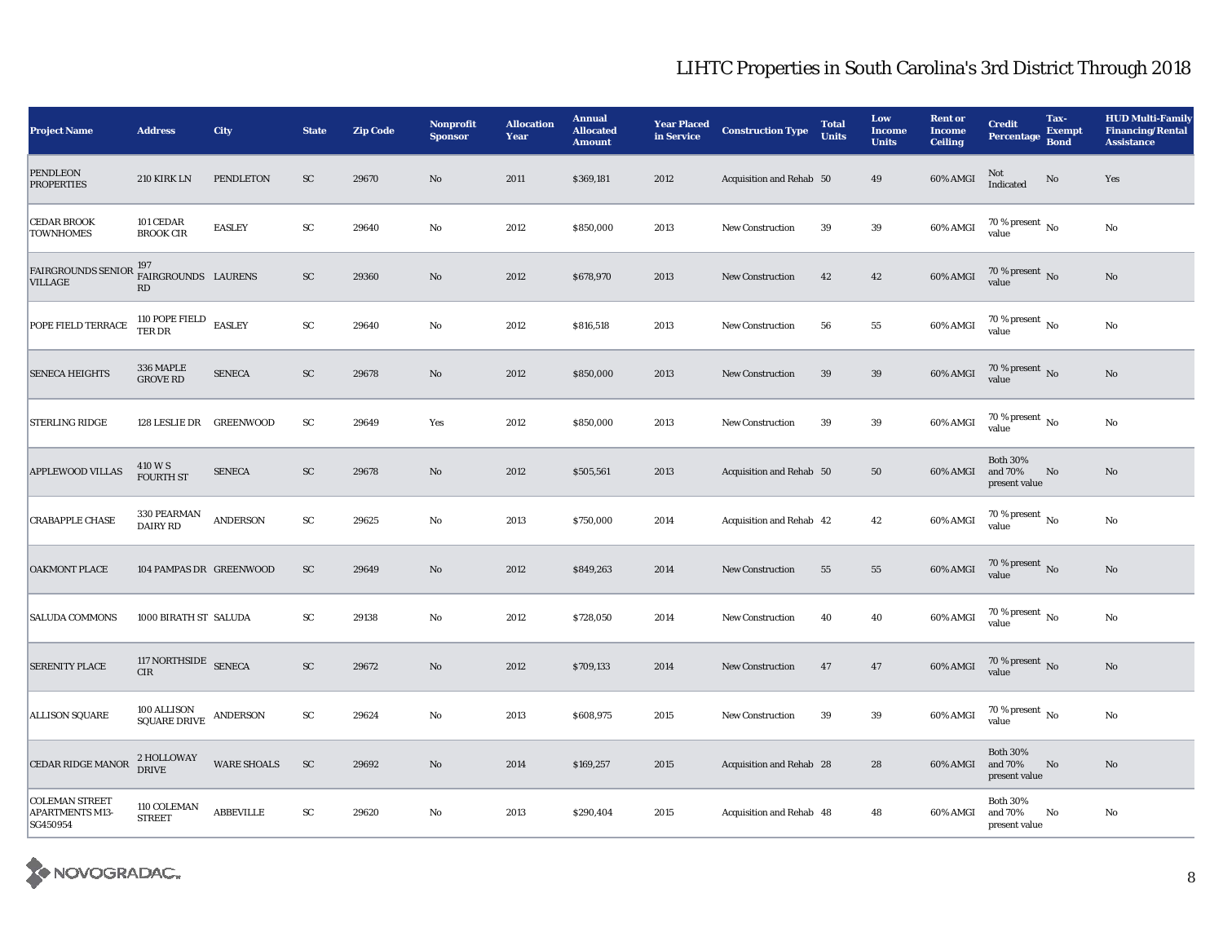| <b>Project Name</b>                                         | <b>Address</b>                         | City               | <b>State</b> | <b>Zip Code</b> | Nonprofit<br><b>Sponsor</b> | <b>Allocation</b><br>Year | <b>Annual</b><br><b>Allocated</b><br><b>Amount</b> | <b>Year Placed</b><br>in Service | <b>Construction Type</b> | <b>Total</b><br><b>Units</b> | Low<br><b>Income</b><br><b>Units</b> | <b>Rent or</b><br><b>Income</b><br><b>Ceiling</b> | <b>Credit</b><br><b>Percentage</b>          | Tax-<br><b>Exempt</b><br><b>Bond</b> | <b>HUD Multi-Family</b><br><b>Financing/Rental</b><br><b>Assistance</b> |
|-------------------------------------------------------------|----------------------------------------|--------------------|--------------|-----------------|-----------------------------|---------------------------|----------------------------------------------------|----------------------------------|--------------------------|------------------------------|--------------------------------------|---------------------------------------------------|---------------------------------------------|--------------------------------------|-------------------------------------------------------------------------|
| <b>PENDLEON</b><br><b>PROPERTIES</b>                        | 210 KIRK LN                            | PENDLETON          | ${\rm SC}$   | 29670           | $\mathbf{N}\mathbf{o}$      | 2011                      | \$369,181                                          | 2012                             | Acquisition and Rehab 50 |                              | 49                                   | $60\%$ AMGI                                       | Not<br>Indicated                            | $\rm No$                             | Yes                                                                     |
| <b>CEDAR BROOK</b><br><b>TOWNHOMES</b>                      | 101 CEDAR<br><b>BROOK CIR</b>          | <b>EASLEY</b>      | ${\rm SC}$   | 29640           | $\rm No$                    | 2012                      | \$850,000                                          | 2013                             | <b>New Construction</b>  | 39                           | 39                                   | 60% AMGI                                          | 70 % present $\,$ No $\,$<br>value          |                                      | $\rm No$                                                                |
| FAIRGROUNDS SENIOR 197<br>VILLAGE                           | FAIRGROUNDS LAURENS<br>RD              |                    | ${\rm SC}$   | 29360           | $\mathbf{N}\mathbf{o}$      | 2012                      | \$678,970                                          | 2013                             | New Construction         | 42                           | $\bf 42$                             | 60% AMGI                                          | $70\,\%$ present $_{\rm No}$                |                                      | $\rm No$                                                                |
| POPE FIELD TERRACE                                          | 110 POPE FIELD EASLEY TER DR           |                    | ${\rm SC}$   | 29640           | No                          | 2012                      | \$816,518                                          | 2013                             | <b>New Construction</b>  | 56                           | 55                                   | 60% AMGI                                          | $70$ % present $\,$ No $\,$<br>value        |                                      | No                                                                      |
| <b>SENECA HEIGHTS</b>                                       | 336 MAPLE<br><b>GROVE RD</b>           | <b>SENECA</b>      | ${\rm SC}$   | 29678           | No                          | 2012                      | \$850,000                                          | 2013                             | <b>New Construction</b>  | 39                           | 39                                   | 60% AMGI                                          | $70\,\%$ present $\,$ No value              |                                      | No                                                                      |
| <b>STERLING RIDGE</b>                                       | 128 LESLIE DR GREENWOOD                |                    | SC           | 29649           | Yes                         | 2012                      | \$850,000                                          | 2013                             | <b>New Construction</b>  | 39                           | 39                                   | 60% AMGI                                          | 70 % present $\,$ No $\,$<br>value          |                                      | No                                                                      |
| <b>APPLEWOOD VILLAS</b>                                     | 410 W S<br><b>FOURTH ST</b>            | <b>SENECA</b>      | ${\rm SC}$   | 29678           | No                          | 2012                      | \$505,561                                          | 2013                             | Acquisition and Rehab 50 |                              | 50                                   | 60% AMGI                                          | <b>Both 30%</b><br>and 70%<br>present value | No                                   | No                                                                      |
| <b>CRABAPPLE CHASE</b>                                      | 330 PEARMAN<br><b>DAIRY RD</b>         | <b>ANDERSON</b>    | ${\rm SC}$   | 29625           | No                          | 2013                      | \$750,000                                          | 2014                             | Acquisition and Rehab 42 |                              | 42                                   | 60% AMGI                                          | $70$ % present $\,$ No $\,$<br>value        |                                      | $\rm No$                                                                |
| OAKMONT PLACE                                               | 104 PAMPAS DR GREENWOOD                |                    | ${\rm SC}$   | 29649           | $\mathbf{N}\mathbf{o}$      | 2012                      | \$849,263                                          | 2014                             | <b>New Construction</b>  | ${\bf 55}$                   | ${\bf 55}$                           | 60% AMGI                                          | $70\,\%$ present $\,$ No value              |                                      | $\rm No$                                                                |
| <b>SALUDA COMMONS</b>                                       | 1000 BIRATH ST SALUDA                  |                    | SC           | 29138           | No                          | 2012                      | \$728,050                                          | 2014                             | <b>New Construction</b>  | 40                           | 40                                   | 60% AMGI                                          | $70\,\%$ present $\,$ No value              |                                      | No                                                                      |
| SERENITY PLACE                                              | 117 NORTHSIDE SENECA<br><b>CIR</b>     |                    | ${\rm SC}$   | 29672           | $\mathbf{N}\mathbf{o}$      | 2012                      | \$709,133                                          | 2014                             | <b>New Construction</b>  | 47                           | 47                                   | 60% AMGI                                          | $70\,\%$ present $\,$ No value              |                                      | $\rm No$                                                                |
| <b>ALLISON SQUARE</b>                                       | $100\,$ ALLISON<br><b>SQUARE DRIVE</b> | <b>ANDERSON</b>    | SC           | 29624           | $\mathbf{N}\mathbf{o}$      | 2013                      | \$608,975                                          | 2015                             | <b>New Construction</b>  | 39                           | 39                                   | $60\%$ AMGI                                       | 70 % present $\,$ No $\,$<br>value          |                                      | $\rm No$                                                                |
| CEDAR RIDGE MANOR                                           | 2 HOLLOWAY<br>DRIVE                    | <b>WARE SHOALS</b> | ${\rm SC}$   | 29692           | $\mathbf{N}\mathbf{o}$      | 2014                      | \$169,257                                          | 2015                             | Acquisition and Rehab 28 |                              | 28                                   | 60% AMGI                                          | <b>Both 30%</b><br>and 70%<br>present value | No                                   | $\mathbf{N}\mathbf{o}$                                                  |
| <b>COLEMAN STREET</b><br><b>APARTMENTS M13-</b><br>SG450954 | 110 COLEMAN<br><b>STREET</b>           | <b>ABBEVILLE</b>   | ${\rm SC}$   | 29620           | No                          | 2013                      | \$290,404                                          | 2015                             | Acquisition and Rehab 48 |                              | 48                                   | 60% AMGI                                          | <b>Both 30%</b><br>and 70%<br>present value | No                                   | No                                                                      |

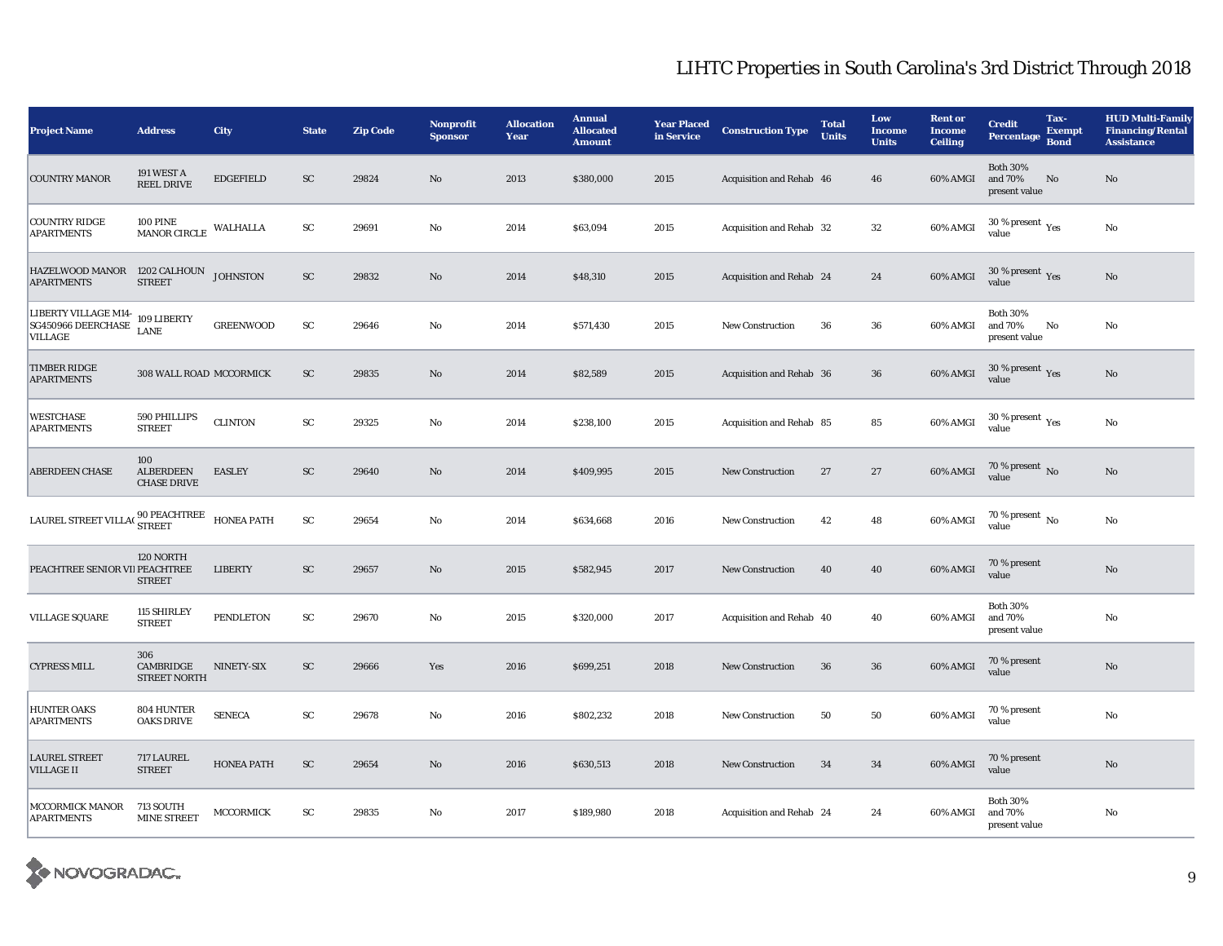| <b>Project Name</b>                                                                                        | <b>Address</b>                                | <b>City</b>       | <b>State</b> | <b>Zip Code</b> | <b>Nonprofit</b><br><b>Sponsor</b> | <b>Allocation</b><br>Year | <b>Annual</b><br><b>Allocated</b><br><b>Amount</b> | <b>Year Placed</b><br>in Service | <b>Construction Type</b> | <b>Total</b><br><b>Units</b> | Low<br><b>Income</b><br><b>Units</b> | <b>Rent or</b><br><b>Income</b><br><b>Ceiling</b> | <b>Credit</b><br><b>Percentage</b>          | Tax-<br><b>Exempt</b><br><b>Bond</b> | <b>HUD Multi-Family</b><br><b>Financing/Rental</b><br><b>Assistance</b> |
|------------------------------------------------------------------------------------------------------------|-----------------------------------------------|-------------------|--------------|-----------------|------------------------------------|---------------------------|----------------------------------------------------|----------------------------------|--------------------------|------------------------------|--------------------------------------|---------------------------------------------------|---------------------------------------------|--------------------------------------|-------------------------------------------------------------------------|
| <b>COUNTRY MANOR</b>                                                                                       | 191 WEST A<br><b>REEL DRIVE</b>               | <b>EDGEFIELD</b>  | ${\rm SC}$   | 29824           | $\mathbf{N}\mathbf{o}$             | 2013                      | \$380,000                                          | 2015                             | Acquisition and Rehab 46 |                              | 46                                   | 60% AMGI                                          | <b>Both 30%</b><br>and 70%<br>present value | No                                   | No                                                                      |
| <b>COUNTRY RIDGE</b><br><b>APARTMENTS</b>                                                                  | <b>100 PINE</b><br><b>MANOR CIRCLE</b>        | WALHALLA          | ${\rm SC}$   | 29691           | No                                 | 2014                      | \$63,094                                           | 2015                             | Acquisition and Rehab 32 |                              | $32\,$                               | 60% AMGI                                          | $30$ % present $\,$ $\rm Yes$<br>value      |                                      | No                                                                      |
| ${\small\bf HAZELWOOD MANOR\quad 1202\ CALHOUN\ \bf APARTMENTS\quad \  \  \, STREET}$                      |                                               | <b>JOHNSTON</b>   | ${\rm SC}$   | 29832           | $\mathbf{N}\mathbf{o}$             | 2014                      | \$48,310                                           | 2015                             | Acquisition and Rehab 24 |                              | 24                                   | 60% AMGI                                          | $30\,\%$ present $\,\mathrm{Yes}$ value     |                                      | $\rm No$                                                                |
| LIBERTY VILLAGE M14-<br>SG450966 DEERCHASE<br><b>VILLAGE</b>                                               | 109 LIBERTY<br><b>LANE</b>                    | <b>GREENWOOD</b>  | ${\rm SC}$   | 29646           | No                                 | 2014                      | \$571,430                                          | 2015                             | <b>New Construction</b>  | 36                           | 36                                   | 60% AMGI                                          | <b>Both 30%</b><br>and 70%<br>present value | No                                   | No                                                                      |
| <b>TIMBER RIDGE</b><br><b>APARTMENTS</b>                                                                   | 308 WALL ROAD MCCORMICK                       |                   | ${\rm SC}$   | 29835           | $\rm No$                           | 2014                      | \$82,589                                           | 2015                             | Acquisition and Rehab 36 |                              | $36\,$                               | 60% AMGI                                          | $30\,\%$ present $\,\mathrm{Yes}$ value     |                                      | $\rm No$                                                                |
| <b>WESTCHASE</b><br><b>APARTMENTS</b>                                                                      | 590 PHILLIPS<br><b>STREET</b>                 | <b>CLINTON</b>    | ${\rm SC}$   | 29325           | No                                 | 2014                      | \$238,100                                          | 2015                             | Acquisition and Rehab 85 |                              | 85                                   | $60\%$ AMGI                                       | 30 % present $\rm_{Yes}$<br>value           |                                      | $\rm No$                                                                |
| <b>ABERDEEN CHASE</b>                                                                                      | 100<br><b>ALBERDEEN</b><br><b>CHASE DRIVE</b> | <b>EASLEY</b>     | ${\rm SC}$   | 29640           | $\rm No$                           | 2014                      | \$409,995                                          | 2015                             | New Construction         | 27                           | 27                                   | 60% AMGI                                          | $70\,\%$ present $\,$ No value              |                                      | $\rm No$                                                                |
| $\textbf{LAUREL STREET VILLA}\xspace \begin{array}{c} \textbf{90 PEACHTREE} \\ \textbf{STREE} \end{array}$ |                                               | <b>HONEA PATH</b> | ${\rm SC}$   | 29654           | No                                 | 2014                      | \$634,668                                          | 2016                             | <b>New Construction</b>  | 42                           | 48                                   | 60% AMGI                                          | 70 % present $\overline{N_0}$<br>value      |                                      | $\rm No$                                                                |
| PEACHTREE SENIOR VII PEACHTREE                                                                             | 120 NORTH<br><b>STREET</b>                    | <b>LIBERTY</b>    | SC           | 29657           | No                                 | 2015                      | \$582,945                                          | 2017                             | <b>New Construction</b>  | 40                           | 40                                   | 60% AMGI                                          | 70 % present<br>value                       |                                      | $\mathbf{N}\mathbf{o}$                                                  |
| <b>VILLAGE SQUARE</b>                                                                                      | 115 SHIRLEY<br><b>STREET</b>                  | <b>PENDLETON</b>  | ${\rm SC}$   | 29670           | No                                 | 2015                      | \$320,000                                          | 2017                             | Acquisition and Rehab 40 |                              | 40                                   | 60% AMGI                                          | <b>Both 30%</b><br>and 70%<br>present value |                                      | No                                                                      |
| <b>CYPRESS MILL</b>                                                                                        | 306<br>CAMBRIDGE<br>STREET NORTH              | NINETY-SIX        | ${\rm SC}$   | 29666           | Yes                                | 2016                      | \$699,251                                          | 2018                             | <b>New Construction</b>  | 36                           | 36                                   | 60% AMGI                                          | 70 % present<br>value                       |                                      | $\rm No$                                                                |
| <b>HUNTER OAKS</b><br><b>APARTMENTS</b>                                                                    | 804 HUNTER<br><b>OAKS DRIVE</b>               | <b>SENECA</b>     | ${\rm SC}$   | 29678           | $\rm No$                           | 2016                      | \$802,232                                          | 2018                             | <b>New Construction</b>  | 50                           | 50                                   | 60% AMGI                                          | 70 % present<br>value                       |                                      | $\rm No$                                                                |
| <b>LAUREL STREET</b><br><b>VILLAGE II</b>                                                                  | 717 LAUREL<br><b>STREET</b>                   | <b>HONEA PATH</b> | ${\rm SC}$   | 29654           | $\mathbf{N}\mathbf{o}$             | 2016                      | \$630,513                                          | 2018                             | <b>New Construction</b>  | 34                           | 34                                   | 60% AMGI                                          | 70 % present<br>value                       |                                      | $\mathbf{N}\mathbf{o}$                                                  |
| <b>MCCORMICK MANOR</b><br><b>APARTMENTS</b>                                                                | 713 SOUTH<br><b>MINE STREET</b>               | <b>MCCORMICK</b>  | ${\bf SC}$   | 29835           | $\rm No$                           | 2017                      | \$189,980                                          | 2018                             | Acquisition and Rehab 24 |                              | 24                                   | 60% AMGI                                          | <b>Both 30%</b><br>and 70%<br>present value |                                      | $\rm No$                                                                |